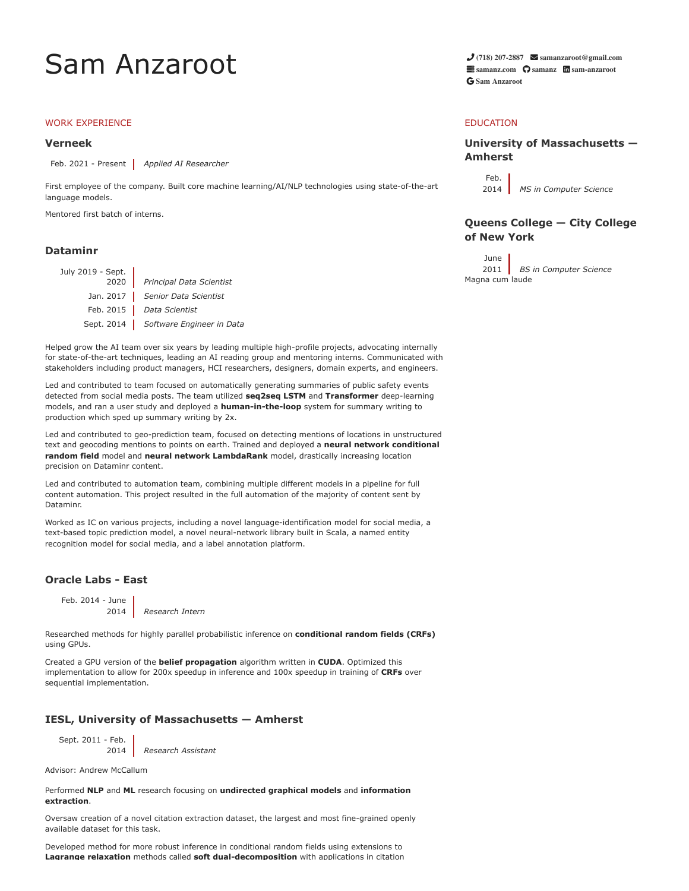# Sam Anzaroot **[\(718\) 207-2887](tel:+7182072887) [samanzaroot@gmail.com](mailto:samanzaroot@gmail.com)**

## WORK EXPERIENCE

### **[Verneek](http://www.verneek.com/)**

Feb. 2021 - Present *Applied AI Researcher*

First employee of the company. Built core machine learning/AI/NLP technologies using state-of-the-art language models.

Mentored first batch of interns.

# **[Dataminr](http://www.dataminr.com/)**

| July 2019 - Sept. | 2020 Principal Data Scientist        |
|-------------------|--------------------------------------|
|                   | Jan. 2017 Senior Data Scientist      |
|                   | Feb. 2015   Data Scientist           |
|                   | Sept. 2014 Software Engineer in Data |

Helped grow the AI team over six years by leading multiple high-profile projects, advocating internally for state-of-the-art techniques, leading an AI reading group and mentoring interns. Communicated with stakeholders including product managers, HCI researchers, designers, domain experts, and engineers.

Led and contributed to team focused on automatically generating summaries of public safety events detected from social media posts. The team utilized **seq2seq LSTM** and **Transformer** deep-learning models, and ran a user study and deployed a **human-in-the-loop** system for summary writing to production which sped up summary writing by 2x.

Led and contributed to geo-prediction team, focused on detecting mentions of locations in unstructured text and geocoding mentions to points on earth. Trained and deployed a **neural network conditional random field** model and **neural network LambdaRank** model, drastically increasing location precision on Dataminr content.

Led and contributed to automation team, combining multiple different models in a pipeline for full content automation. This project resulted in the full automation of the majority of content sent by Dataminr.

Worked as IC on various projects, including a novel language-identification model for social media, a text-based topic prediction model, a novel neural-network library built in Scala, a named entity recognition model for social media, and a label annotation platform.

## **[Oracle Labs - East](https://labs.oracle.com/pls/apex/f?p=LABS:location:0::::P23_LOCATION_ID:26)**

Feb. 2014 - June

2014 *Research Intern*

Researched methods for highly parallel probabilistic inference on **conditional random fields (CRFs)** using GPUs.

Created a GPU version of the **belief propagation** algorithm written in **CUDA**. Optimized this implementation to allow for 200x speedup in inference and 100x speedup in training of **CRFs** over sequential implementation.

## **[IESL, University of Massachusetts — Amherst](http://www.iesl.cs.umass.edu/)**

Sept. 2011 - Feb.

2014 *Research Assistant*

Advisor: Andrew McCallum

Performed **NLP** and **ML** research focusing on **undirected graphical models** and **information extraction**.

Oversaw creation of a [novel citation extraction dataset](http://www.iesl.cs.umass.edu/data/data-umasscitationfield), the largest and most fine-grained openly available dataset for this task.

Developed method for more robust inference in conditional random fields using extensions to **Lagrange relaxation** methods called **soft dual-decomposition** with applications in citation  **[samanz.com](http://www.samanz.com/) [samanz](https://github.com/samanz) [sam-anzaroot](https://www.linkedin.com/in/sam-anzaroot-7829301/) [Sam Anzaroot](https://scholar.google.com/citations?user=RN84DA8AAAAJ&hl=en)**

## EDUCATION

# **[University of Massachusetts —](https://www.cics.umass.edu/) Amherst**

Feb. 2014 *MS in Computer Science*

# **[Queens College — City College](https://www.cs.qc.cuny.edu/index-1.html) of New York**

June 2011 *BS in Computer Science* Magna cum laude